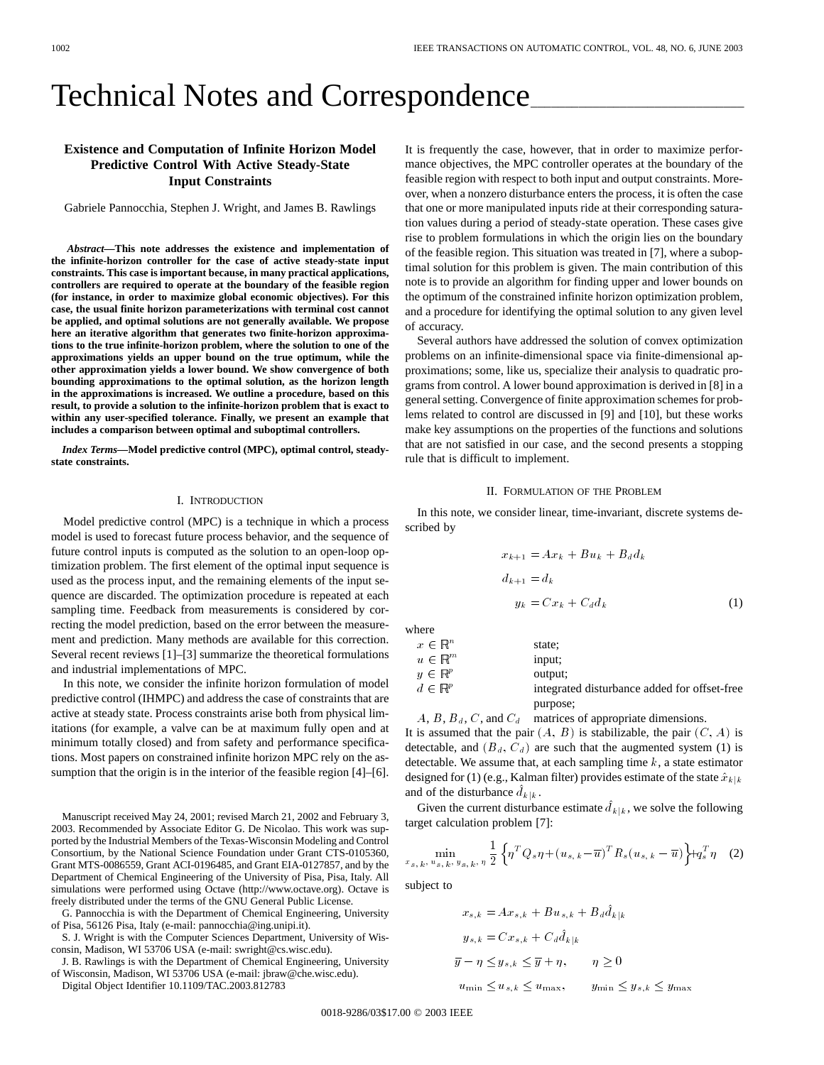# Technical Notes and Correspondence

## **Existence and Computation of Infinite Horizon Model Predictive Control With Active Steady-State Input Constraints**

Gabriele Pannocchia, Stephen J. Wright, and James B. Rawlings

*Abstract—***This note addresses the existence and implementation of the infinite-horizon controller for the case of active steady-state input constraints. This case is important because, in many practical applications, controllers are required to operate at the boundary of the feasible region (for instance, in order to maximize global economic objectives). For this case, the usual finite horizon parameterizations with terminal cost cannot be applied, and optimal solutions are not generally available. We propose here an iterative algorithm that generates two finite-horizon approximations to the true infinite-horizon problem, where the solution to one of the approximations yields an upper bound on the true optimum, while the other approximation yields a lower bound. We show convergence of both bounding approximations to the optimal solution, as the horizon length in the approximations is increased. We outline a procedure, based on this result, to provide a solution to the infinite-horizon problem that is exact to within any user-specified tolerance. Finally, we present an example that includes a comparison between optimal and suboptimal controllers.**

*Index Terms—***Model predictive control (MPC), optimal control, steadystate constraints.**

## I. INTRODUCTION

Model predictive control (MPC) is a technique in which a process model is used to forecast future process behavior, and the sequence of future control inputs is computed as the solution to an open-loop optimization problem. The first element of the optimal input sequence is used as the process input, and the remaining elements of the input sequence are discarded. The optimization procedure is repeated at each sampling time. Feedback from measurements is considered by correcting the model prediction, based on the error between the measurement and prediction. Many methods are available for this correction. Several recent reviews [1]–[3] summarize the theoretical formulations and industrial implementations of MPC.

In this note, we consider the infinite horizon formulation of model predictive control (IHMPC) and address the case of constraints that are active at steady state. Process constraints arise both from physical limitations (for example, a valve can be at maximum fully open and at minimum totally closed) and from safety and performance specifications. Most papers on constrained infinite horizon MPC rely on the assumption that the origin is in the interior of the feasible region [4]–[6].

Manuscript received May 24, 2001; revised March 21, 2002 and February 3, 2003. Recommended by Associate Editor G. De Nicolao. This work was supported by the Industrial Members of the Texas-Wisconsin Modeling and Control Consortium, by the National Science Foundation under Grant CTS-0105360, Grant MTS-0086559, Grant ACI-0196485, and Grant EIA-0127857, and by the Department of Chemical Engineering of the University of Pisa, Pisa, Italy. All simulations were performed using Octave (http://www.octave.org). Octave is freely distributed under the terms of the GNU General Public License.

G. Pannocchia is with the Department of Chemical Engineering, University of Pisa, 56126 Pisa, Italy (e-mail: pannocchia@ing.unipi.it).

S. J. Wright is with the Computer Sciences Department, University of Wisconsin, Madison, WI 53706 USA (e-mail: swright@cs.wisc.edu).

J. B. Rawlings is with the Department of Chemical Engineering, University of Wisconsin, Madison, WI 53706 USA (e-mail: jbraw@che.wisc.edu).

Digital Object Identifier 10.1109/TAC.2003.812783

It is frequently the case, however, that in order to maximize performance objectives, the MPC controller operates at the boundary of the feasible region with respect to both input and output constraints. Moreover, when a nonzero disturbance enters the process, it is often the case that one or more manipulated inputs ride at their corresponding saturation values during a period of steady-state operation. These cases give rise to problem formulations in which the origin lies on the boundary of the feasible region. This situation was treated in [7], where a suboptimal solution for this problem is given. The main contribution of this note is to provide an algorithm for finding upper and lower bounds on the optimum of the constrained infinite horizon optimization problem, and a procedure for identifying the optimal solution to any given level of accuracy.

Several authors have addressed the solution of convex optimization problems on an infinite-dimensional space via finite-dimensional approximations; some, like us, specialize their analysis to quadratic programs from control. A lower bound approximation is derived in [8] in a general setting. Convergence of finite approximation schemes for problems related to control are discussed in [9] and [10], but these works make key assumptions on the properties of the functions and solutions that are not satisfied in our case, and the second presents a stopping rule that is difficult to implement.

#### II. FORMULATION OF THE PROBLEM

In this note, we consider linear, time-invariant, discrete systems described by

$$
x_{k+1} = Ax_k + Bu_k + B_d d_k
$$
  
\n
$$
d_{k+1} = d_k
$$
  
\n
$$
y_k = C x_k + C_d d_k
$$
\n(1)

where

| $x \in \mathbb{R}^n$ | state;                                                |
|----------------------|-------------------------------------------------------|
| $u \in \mathbb{R}^m$ | input;                                                |
| $y \in \mathbb{R}^p$ | output;                                               |
| $d \in \mathbb{R}^p$ | integrated disturbance added for offset-free purpose; |

 $A, B, B_d, C$ , and  $C_d$  matrices of appropriate dimensions.

It is assumed that the pair  $(A, B)$  is stabilizable, the pair  $(C, A)$  is detectable, and  $(B_d, C_d)$  are such that the augmented system (1) is detectable. We assume that, at each sampling time  $k$ , a state estimator designed for (1) (e.g., Kalman filter) provides estimate of the state  $\hat{x}_{k|k}$ and of the disturbance  $\hat{d}_{k|k}$ .

Given the current disturbance estimate  $\hat{d}_{k|k}$ , we solve the following target calculation problem [7]:

$$
\min_{x_{s,k}, u_{s,k}, y_{s,k}, \eta} \frac{1}{2} \left\{ \eta^T Q_s \eta + (u_{s,k} - \overline{u})^T R_s (u_{s,k} - \overline{u}) \right\} + q_s^T \eta \quad (2)
$$

subject to

$$
x_{s,k} = Ax_{s,k} + Bu_{s,k} + B_d \hat{d}_{k|k}
$$
  
\n
$$
y_{s,k} = C x_{s,k} + C_d \hat{d}_{k|k}
$$
  
\n
$$
\overline{y} - \eta \le y_{s,k} \le \overline{y} + \eta, \qquad \eta \ge 0
$$
  
\n
$$
u_{\min} \le u_{s,k} \le u_{\max}, \qquad y_{\min} \le y_{s,k} \le y_{\max}
$$

0018-9286/03\$17.00 © 2003 IEEE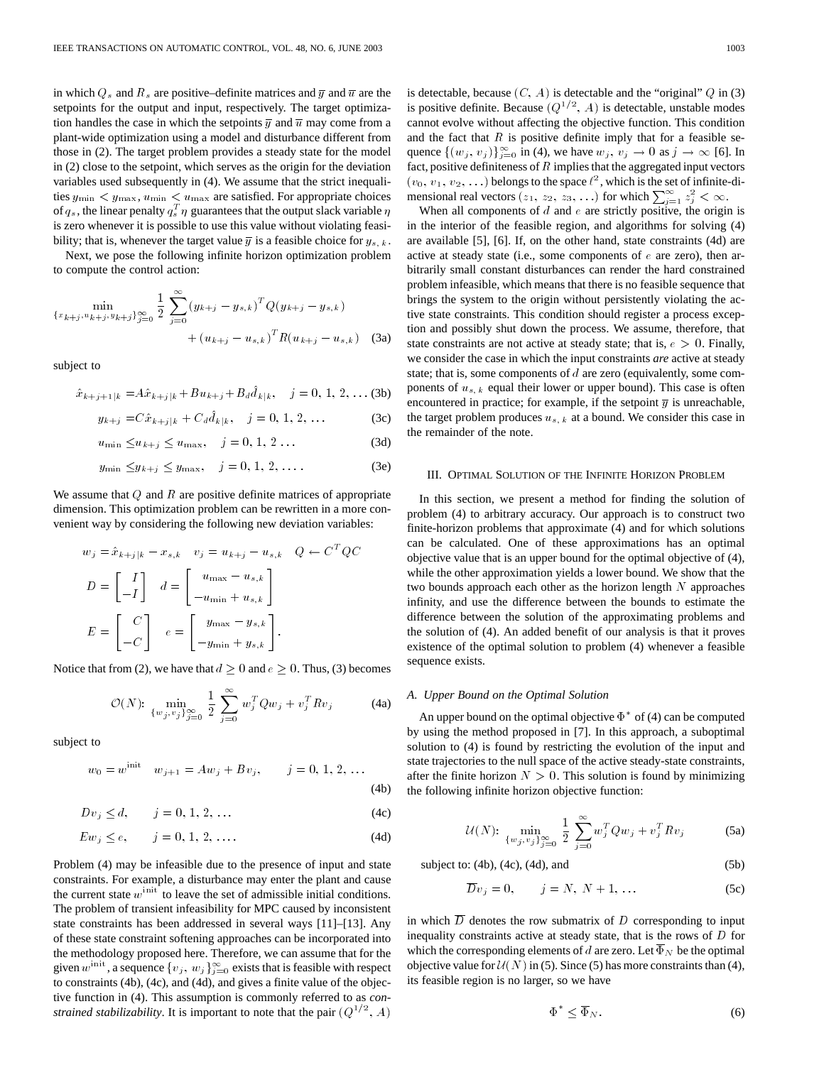in which  $Q_s$  and  $R_s$  are positive–definite matrices and  $\overline{y}$  and  $\overline{u}$  are the setpoints for the output and input, respectively. The target optimization handles the case in which the setpoints  $\overline{y}$  and  $\overline{u}$  may come from a plant-wide optimization using a model and disturbance different from those in (2). The target problem provides a steady state for the model in (2) close to the setpoint, which serves as the origin for the deviation variables used subsequently in (4). We assume that the strict inequalities  $y_{\text{min}} < y_{\text{max}}$ ,  $u_{\text{min}} < u_{\text{max}}$  are satisfied. For appropriate choices of  $q_s$ , the linear penalty  $q_s^T \eta$  guarantees that the output slack variable  $\eta$ is zero whenever it is possible to use this value without violating feasibility; that is, whenever the target value  $\overline{y}$  is a feasible choice for  $y_{s,k}$ .

Next, we pose the following infinite horizon optimization problem to compute the control action:

$$
\min_{\{x_{k+j}, u_{k+j}, y_{k+j}\}_{j=0}^{\infty}} \frac{1}{2} \sum_{j=0}^{\infty} (y_{k+j} - y_{s,k})^T Q(y_{k+j} - y_{s,k}) + (u_{k+j} - u_{s,k})^T R(u_{k+j} - u_{s,k})
$$
 (3a)

subject to

$$
\hat{x}_{k+j+1|k} = A\hat{x}_{k+j|k} + Bu_{k+j} + B_d \hat{d}_{k|k}, \quad j = 0, 1, 2, \dots (3b)
$$

$$
y_{k+j} = C\hat{x}_{k+j|k} + C_d \hat{d}_{k|k}, \quad j = 0, 1, 2, ...
$$
 (3c)

$$
u_{\min} \le u_{k+j} \le u_{\max}, \quad j = 0, 1, 2 \dots \tag{3d}
$$

$$
y_{\min} \leq y_{k+j} \leq y_{\max}, \quad j = 0, 1, 2, \dots
$$
 (3e)

We assume that  $Q$  and  $R$  are positive definite matrices of appropriate dimension. This optimization problem can be rewritten in a more convenient way by considering the following new deviation variables:

$$
w_j = \hat{x}_{k+j|k} - x_{s,k} \quad v_j = u_{k+j} - u_{s,k} \quad Q \leftarrow C^T Q C
$$

$$
D = \begin{bmatrix} I \\ -I \end{bmatrix} \quad d = \begin{bmatrix} u_{\text{max}} - u_{s,k} \\ -u_{\text{min}} + u_{s,k} \end{bmatrix}
$$

$$
E = \begin{bmatrix} C \\ -C \end{bmatrix} \quad e = \begin{bmatrix} y_{\text{max}} - y_{s,k} \\ -y_{\text{min}} + y_{s,k} \end{bmatrix}.
$$

Notice that from (2), we have that  $d \geq 0$  and  $e \geq 0$ . Thus, (3) becomes

$$
\mathcal{O}(N): \ \min_{\{w_j, v_j\}_{j=0}^{\infty}} \frac{1}{2} \sum_{j=0}^{\infty} w_j^T Q w_j + v_j^T R v_j \tag{4a}
$$

subject to

$$
w_0 = w^{\text{init}} \quad w_{j+1} = Aw_j + Bv_j, \qquad j = 0, 1, 2, \dots
$$
\n(4b)

$$
D v_j \le d, \qquad j = 0, 1, 2, \dots \tag{4c}
$$

$$
E w_j \le e, \qquad j = 0, 1, 2, .... \tag{4d}
$$

Problem (4) may be infeasible due to the presence of input and state constraints. For example, a disturbance may enter the plant and cause the current state  $w^{\text{init}}$  to leave the set of admissible initial conditions. The problem of transient infeasibility for MPC caused by inconsistent state constraints has been addressed in several ways [11]–[13]. Any of these state constraint softening approaches can be incorporated into the methodology proposed here. Therefore, we can assume that for the given  $w^{\text{init}}$ , a sequence  $\{v_j, w_j\}_{j=0}^{\infty}$  exists that is feasible with respect to constraints (4b), (4c), and (4d), and gives a finite value of the objective function in (4). This assumption is commonly referred to as *constrained stabilizability*. It is important to note that the pair  $(Q^{1/2}, A)$  is detectable, because  $(C, A)$  is detectable and the "original"  $Q$  in (3) is positive definite. Because  $(Q^{1/2}, A)$  is detectable, unstable modes cannot evolve without affecting the objective function. This condition and the fact that  $R$  is positive definite imply that for a feasible sequence  $\{(w_j, v_j)\}_{j=0}^{\infty}$  in (4), we have  $w_j, v_j \to 0$  as  $j \to \infty$  [6]. In fact, positive definiteness of  $R$  implies that the aggregated input vectors  $(v_0, v_1, v_2, ...)$  belongs to the space  $\ell^2$ , which is the set of infinite-dimensional real vectors  $(z_1, z_2, z_3, ...)$  for which  $\sum_{j=1}^{\infty} z_j^2 < \infty$ .

When all components of  $d$  and  $e$  are strictly positive, the origin is in the interior of the feasible region, and algorithms for solving (4) are available [5], [6]. If, on the other hand, state constraints (4d) are active at steady state (i.e., some components of  $e$  are zero), then arbitrarily small constant disturbances can render the hard constrained problem infeasible, which means that there is no feasible sequence that brings the system to the origin without persistently violating the active state constraints. This condition should register a process exception and possibly shut down the process. We assume, therefore, that state constraints are not active at steady state; that is,  $e > 0$ . Finally, we consider the case in which the input constraints *are* active at steady state; that is, some components of d are zero (equivalently, some components of  $u_{s,k}$  equal their lower or upper bound). This case is often encountered in practice; for example, if the setpoint  $\overline{y}$  is unreachable, the target problem produces  $u_{s,k}$  at a bound. We consider this case in the remainder of the note.

#### III. OPTIMAL SOLUTION OF THE INFINITE HORIZON PROBLEM

In this section, we present a method for finding the solution of problem (4) to arbitrary accuracy. Our approach is to construct two finite-horizon problems that approximate (4) and for which solutions can be calculated. One of these approximations has an optimal objective value that is an upper bound for the optimal objective of (4), while the other approximation yields a lower bound. We show that the two bounds approach each other as the horizon length  $N$  approaches infinity, and use the difference between the bounds to estimate the difference between the solution of the approximating problems and the solution of (4). An added benefit of our analysis is that it proves existence of the optimal solution to problem (4) whenever a feasible sequence exists.

## *A. Upper Bound on the Optimal Solution*

An upper bound on the optimal objective  $\Phi^*$  of (4) can be computed by using the method proposed in [7]. In this approach, a suboptimal solution to (4) is found by restricting the evolution of the input and state trajectories to the null space of the active steady-state constraints, after the finite horizon  $N > 0$ . This solution is found by minimizing the following infinite horizon objective function:

$$
U(N): \ \min_{\{w_j, v_j\}_{j=0}^{\infty}} \frac{1}{2} \sum_{j=0}^{\infty} w_j^T Q w_j + v_j^T R v_j \tag{5a}
$$

$$
subject to: (4b), (4c), (4d), and \t(5b)
$$

$$
\overline{D}v_j = 0, \qquad j = N, \ N + 1, \dots \tag{5c}
$$

in which  $\overline{D}$  denotes the row submatrix of  $D$  corresponding to input inequality constraints active at steady state, that is the rows of  $D$  for which the corresponding elements of d are zero. Let  $\Phi_N$  be the optimal objective value for  $\mathcal{U}(N)$  in (5). Since (5) has more constraints than (4), its feasible region is no larger, so we have

$$
\Phi^* \leq \overline{\Phi}_N. \tag{6}
$$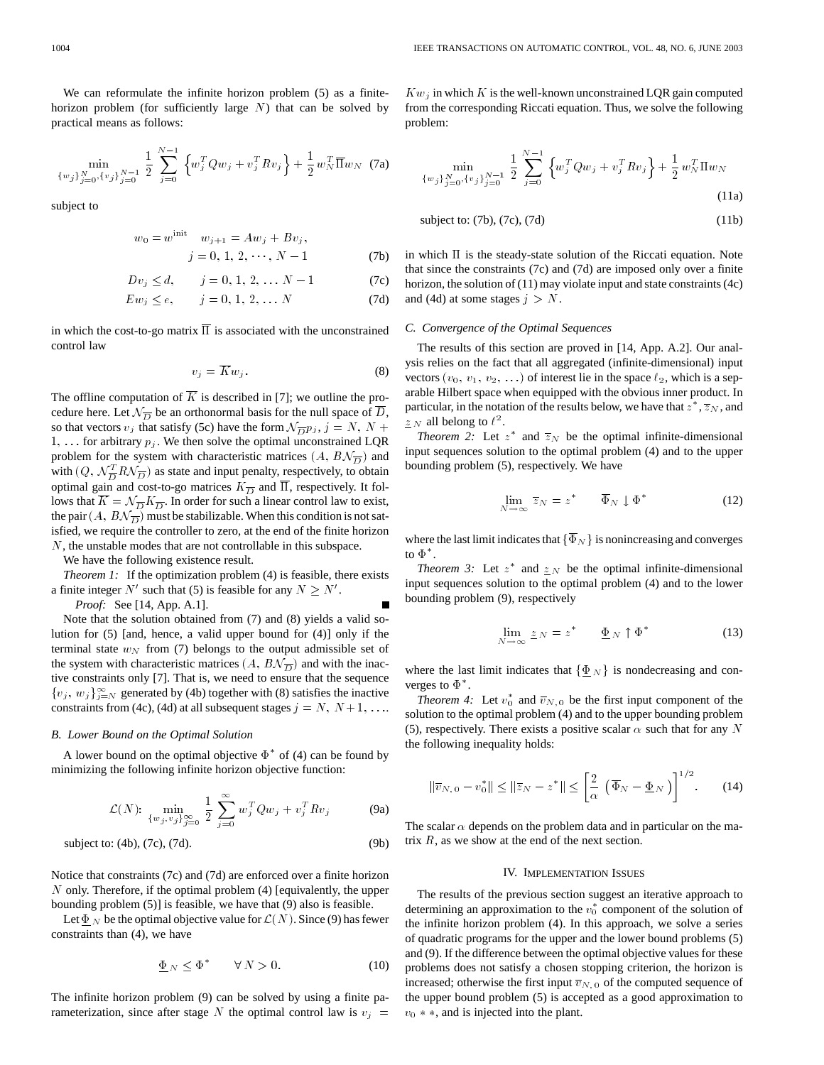We can reformulate the infinite horizon problem (5) as a finitehorizon problem (for sufficiently large  $N$ ) that can be solved by practical means as follows:

$$
\min_{\{w_j\}_{j=0}^N, \{v_j\}_{j=0}^{N-1}} \frac{1}{2} \sum_{j=0}^{N-1} \left\{ w_j^T Q w_j + v_j^T R v_j \right\} + \frac{1}{2} w_N^T \overline{\Pi} w_N \tag{7a}
$$

subject to

$$
w_0 = w^{\text{init}} \quad w_{j+1} = Aw_j + Bv_j,
$$

$$
j = 0, 1, 2, \cdots, N - 1 \tag{7b}
$$

$$
Dv_j \le d, \qquad j = 0, 1, 2, \ldots N - 1
$$
 (7c)

$$
E w_j \le e, \qquad j = 0, 1, 2, \dots N
$$
 (7d)

in which the cost-to-go matrix  $\overline{\Pi}$  is associated with the unconstrained control law

$$
v_j = \overline{K} w_j. \tag{8}
$$

The offline computation of  $\overline{K}$  is described in [7]; we outline the procedure here. Let  $\mathcal{N}_{\overline{D}}$  be an orthonormal basis for the null space of  $\overline{D}$ , so that vectors  $v_j$  that satisfy (5c) have the form  $\mathcal{N}_{\overline{D}} p_j$ ,  $j = N, N +$ 1, ... for arbitrary  $p_j$ . We then solve the optimal unconstrained LQR problem for the system with characteristic matrices  $(A, B\mathcal{N}_{\overline{D}})$  and with  $(Q, \mathcal{N}_{\overline{D}}^T R \mathcal{N}_{\overline{D}})$  as state and input penalty, respectively, to obtain optimal gain and cost-to-go matrices  $K_{\overline{D}}$  and  $\overline{\Pi}$ , respectively. It follows that  $\overline{K} = \mathcal{N}_{\overline{D}} K_{\overline{D}}$ . In order for such a linear control law to exist, the pair  $(A, B\mathcal{N}_{\overline{D}})$  must be stabilizable. When this condition is not satisfied, we require the controller to zero, at the end of the finite horizon N, the unstable modes that are not controllable in this subspace.

We have the following existence result.

*Theorem 1:* If the optimization problem (4) is feasible, there exists a finite integer N' such that (5) is feasible for any  $N \ge N'$ .

*Proof:* See [14, App. A.1].

Note that the solution obtained from (7) and (8) yields a valid solution for (5) [and, hence, a valid upper bound for (4)] only if the terminal state  $w_N$  from (7) belongs to the output admissible set of the system with characteristic matrices  $(A, B\mathcal{N}_{\overline{D}})$  and with the inactive constraints only [7]. That is, we need to ensure that the sequence  $\{v_j, w_j\}_{j=N}^{\infty}$  generated by (4b) together with (8) satisfies the inactive constraints from (4c), (4d) at all subsequent stages  $j = N, N + 1, \ldots$ 

## *B. Lower Bound on the Optimal Solution*

A lower bound on the optimal objective  $\Phi^*$  of (4) can be found by minimizing the following infinite horizon objective function:

$$
\mathcal{L}(N)
$$
:  $\min_{\{w_j, v_j\}_{j=0}^{\infty}} \frac{1}{2} \sum_{j=0}^{\infty} w_j^T Q w_j + v_j^T R v_j$  (9a)

$$
subject to: (4b), (7c), (7d). \tag{9b}
$$

Notice that constraints (7c) and (7d) are enforced over a finite horizon  $N$  only. Therefore, if the optimal problem (4) [equivalently, the upper bounding problem (5)] is feasible, we have that (9) also is feasible.

Let  $\Phi_N$  be the optimal objective value for  $\mathcal{L}(N)$ . Since (9) has fewer constraints than (4), we have

$$
\underline{\Phi}_N \le \Phi^* \qquad \forall N > 0. \tag{10}
$$

The infinite horizon problem (9) can be solved by using a finite parameterization, since after stage N the optimal control law is  $v_j =$ 

 $Kw_i$  in which K is the well-known unconstrained LQR gain computed from the corresponding Riccati equation. Thus, we solve the following problem:

$$
\min_{\{w_j\}_{j=0}^N, \{v_j\}_{j=0}^{N-1}} \frac{1}{2} \sum_{j=0}^{N-1} \left\{ w_j^T Q w_j + v_j^T R v_j \right\} + \frac{1}{2} w_N^T \Pi w_N
$$
\n(11a)

$$
subject\ to: (7b), (7c), (7d) \tag{11b}
$$

in which  $\Pi$  is the steady-state solution of the Riccati equation. Note that since the constraints (7c) and (7d) are imposed only over a finite horizon, the solution of (11) may violate input and state constraints (4c) and (4d) at some stages  $j > N$ .

#### *C. Convergence of the Optimal Sequences*

The results of this section are proved in [14, App. A.2]. Our analysis relies on the fact that all aggregated (infinite-dimensional) input vectors  $(v_0, v_1, v_2, ...)$  of interest lie in the space  $\ell_2$ , which is a separable Hilbert space when equipped with the obvious inner product. In particular, in the notation of the results below, we have that  $z^*, \overline{z}_N$ , and  $\underline{z}$  *N* all belong to  $\ell^2$ .

*Theorem 2:* Let  $z^*$  and  $\overline{z}_N$  be the optimal infinite-dimensional input sequences solution to the optimal problem (4) and to the upper bounding problem (5), respectively. We have

$$
\lim_{N \to \infty} \overline{z}_N = z^* \qquad \overline{\Phi}_N \downarrow \Phi^* \tag{12}
$$

where the last limit indicates that  $\{\overline{\Phi}_N\}$  is nonincreasing and converges to  $\Phi^*.$ 

*Theorem 3:* Let  $z^*$  and  $\underline{z}$   $N$  be the optimal infinite-dimensional input sequences solution to the optimal problem (4) and to the lower bounding problem (9), respectively

$$
\lim_{N \to \infty} \underline{z}_N = z^* \qquad \underline{\Phi}_N \uparrow \Phi^* \tag{13}
$$

where the last limit indicates that  $\{\Phi_N\}$  is nondecreasing and converges to  $\Phi^*$ .

*Theorem 4:* Let  $v_0^*$  and  $\overline{v}_{N,0}$  be the first input component of the solution to the optimal problem (4) and to the upper bounding problem (5), respectively. There exists a positive scalar  $\alpha$  such that for any N the following inequality holds:

$$
\|\overline{v}_{N,0} - v_0^*\| \le \|\overline{z}_N - z^*\| \le \left[\frac{2}{\alpha} \left(\overline{\Phi}_N - \underline{\Phi}_N\right)\right]^{1/2}.\tag{14}
$$

The scalar  $\alpha$  depends on the problem data and in particular on the matrix  $R$ , as we show at the end of the next section.

#### IV. IMPLEMENTATION ISSUES

The results of the previous section suggest an iterative approach to determining an approximation to the  $v_0^*$  component of the solution of the infinite horizon problem (4). In this approach, we solve a series of quadratic programs for the upper and the lower bound problems (5) and (9). If the difference between the optimal objective values for these problems does not satisfy a chosen stopping criterion, the horizon is increased; otherwise the first input  $\overline{v}_{N, 0}$  of the computed sequence of the upper bound problem (5) is accepted as a good approximation to  $v_0 \ast \ast$ , and is injected into the plant.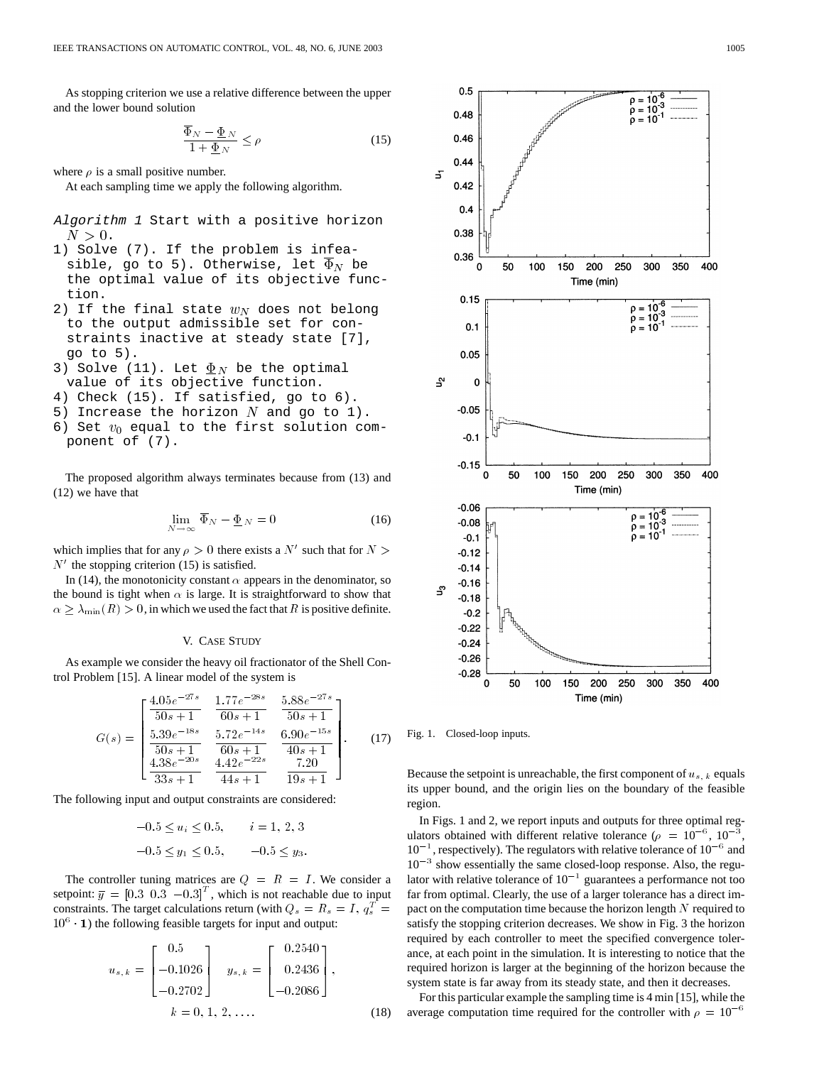As stopping criterion we use a relative difference between the upper and the lower bound solution

$$
\frac{\Phi_N - \underline{\Phi}_N}{1 + \underline{\Phi}_N} \le \rho \tag{15}
$$

where  $\rho$  is a small positive number.

At each sampling time we apply the following algorithm.

- Algorithm <sup>1</sup> Start with a positive horizon  $N > 0$ .
- 1) Solve (7). If the problem is infeasible, go to 5). Otherwise, let  $\Phi_N$  be the optimal value of its objective function.
- 2) If the final state  $w_N$  does not belong to the output admissible set for constraints inactive at steady state [7], go to 5).
- 3) Solve (11). Let  $\underline{\Phi}_N$  be the optimal value of its objective function.
- 4) Check (15). If satisfied, go to 6).
- 5) Increase the horizon  $N$  and go to 1).
- 6) Set  $v_0$  equal to the first solution component of (7).

The proposed algorithm always terminates because from (13) and (12) we have that

$$
\lim_{N \to \infty} \overline{\Phi}_N - \underline{\Phi}_N = 0 \tag{16}
$$

which implies that for any  $\rho > 0$  there exists a N' such that for N >  $N'$  the stopping criterion (15) is satisfied.

In (14), the monotonicity constant  $\alpha$  appears in the denominator, so the bound is tight when  $\alpha$  is large. It is straightforward to show that  $m \geq \lambda_{\min}(R) > 0$ , in which we used the fact that R is positive definite.

## V. CASE STUDY

As example we consider the heavy oil fractionator of the Shell Control Problem [15]. A linear model of the system is

$$
G(s) = \begin{bmatrix} \frac{4.05e^{-27s}}{50s+1} & \frac{1.77e^{-28s}}{60s+1} & \frac{5.88e^{-27s}}{50s+1} \\ \frac{5.39e^{-18s}}{50s+1} & \frac{5.72e^{-14s}}{60s+1} & \frac{6.90e^{-15s}}{40s+1} \\ \frac{4.38e^{-20s}}{33s+1} & \frac{4.42e^{-22s}}{44s+1} & \frac{7.20}{19s+1} \end{bmatrix}.
$$
 (17)

The following input and output constraints are considered:

$$
-0.5 \le u_i \le 0.5, \qquad i = 1, 2, 3
$$
  

$$
-0.5 \le y_1 \le 0.5, \qquad -0.5 \le y_3.
$$

The controller tuning matrices are  $Q = R = I$ . We consider a setpoint:  $\overline{y} = \begin{bmatrix} 0.3 & 0.3 & -0.3 \end{bmatrix}^T$ , which is not reachable due to input constraints. The target calculations return (with  $Q_s = R_s = I$ ,  $q_s^T =$  $10<sup>6</sup>$  (1) the following feasible targets for input and output:

$$
u_{s,k} = \begin{bmatrix} 0.5 \\ -0.1026 \\ -0.2702 \end{bmatrix} \quad y_{s,k} = \begin{bmatrix} 0.2540 \\ 0.2436 \\ -0.2086 \end{bmatrix},
$$
  

$$
k = 0, 1, 2, ....
$$
 (18)



Fig. 1. Closed-loop inputs.

Because the setpoint is unreachable, the first component of  $u_{s,k}$  equals its upper bound, and the origin lies on the boundary of the feasible region.

In Figs. 1 and 2, we report inputs and outputs for three optimal regulators obtained with different relative tolerance ( $\rho = 10^{-6}$ ,  $10^{-3}$  $10^{-1}$ , respectively). The regulators with relative tolerance of  $10^{-6}$  and  $10^{-3}$  show essentially the same closed-loop response. Also, the regulator with relative tolerance of  $10^{-1}$  guarantees a performance not too far from optimal. Clearly, the use of a larger tolerance has a direct impact on the computation time because the horizon length  $N$  required to satisfy the stopping criterion decreases. We show in Fig. 3 the horizon required by each controller to meet the specified convergence tolerance, at each point in the simulation. It is interesting to notice that the required horizon is larger at the beginning of the horizon because the system state is far away from its steady state, and then it decreases.

For this particular example the sampling time is 4 min [15], while the average computation time required for the controller with  $\rho = 10^{-6}$